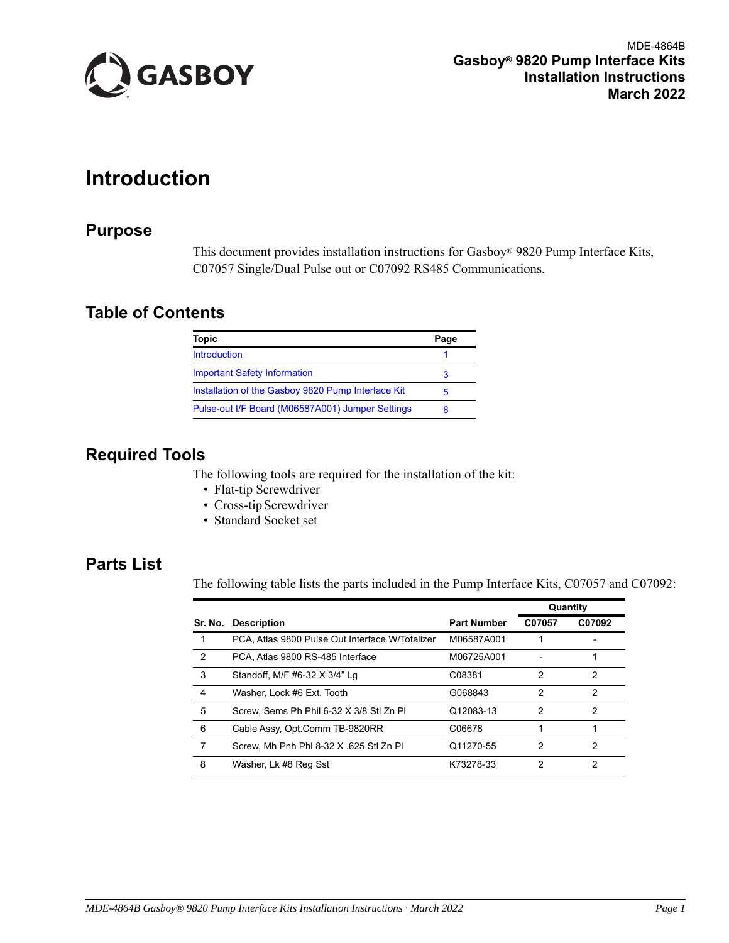

MDE-4864B  **Gasboy® 9820 Pump Interface Kits Installation Instructions March 2022**

# <span id="page-0-0"></span>**Introduction**

# **Purpose**

This document provides installation instructions for Gasboy® 9820 Pump Interface Kits, C07057 Single/Dual Pulse out or C07092 RS485 Communications.

# **Table of Contents**

| Topic                                              | Page |
|----------------------------------------------------|------|
| <b>Introduction</b>                                |      |
| <b>Important Safety Information</b>                |      |
| Installation of the Gasboy 9820 Pump Interface Kit | 5    |
| Pulse-out I/F Board (M06587A001) Jumper Settings   | R    |

# **Required Tools**

The following tools are required for the installation of the kit:

- Flat-tip Screwdriver
- Cross-tip Screwdriver
- Standard Socket set

# **Parts List**

The following table lists the parts included in the Pump Interface Kits, C07057 and C07092:

|               |                                                 |                    | Quantity      |               |
|---------------|-------------------------------------------------|--------------------|---------------|---------------|
| Sr. No.       | <b>Description</b>                              | <b>Part Number</b> | C07057        | C07092        |
|               | PCA, Atlas 9800 Pulse Out Interface W/Totalizer | M06587A001         |               |               |
| $\mathcal{P}$ | PCA. Atlas 9800 RS-485 Interface                | M06725A001         |               |               |
| 3             | Standoff, M/F #6-32 X 3/4" Lg                   | C08381             | 2             | 2             |
| 4             | Washer, Lock #6 Ext. Tooth                      | G068843            | $\mathcal{P}$ | $\mathcal{P}$ |
| 5             | Screw. Sems Ph Phil 6-32 X 3/8 Stl Zn Pl        | Q12083-13          | $\mathcal{P}$ | $\mathcal{P}$ |
| 6             | Cable Assy, Opt.Comm TB-9820RR                  | C06678             |               |               |
| 7             | Screw. Mh Pnh Phl 8-32 X 625 Stl Zn Pl          | Q11270-55          | $\mathcal{P}$ | 2             |
| 8             | Washer, Lk #8 Reg Sst                           | K73278-33          | 2             | 2             |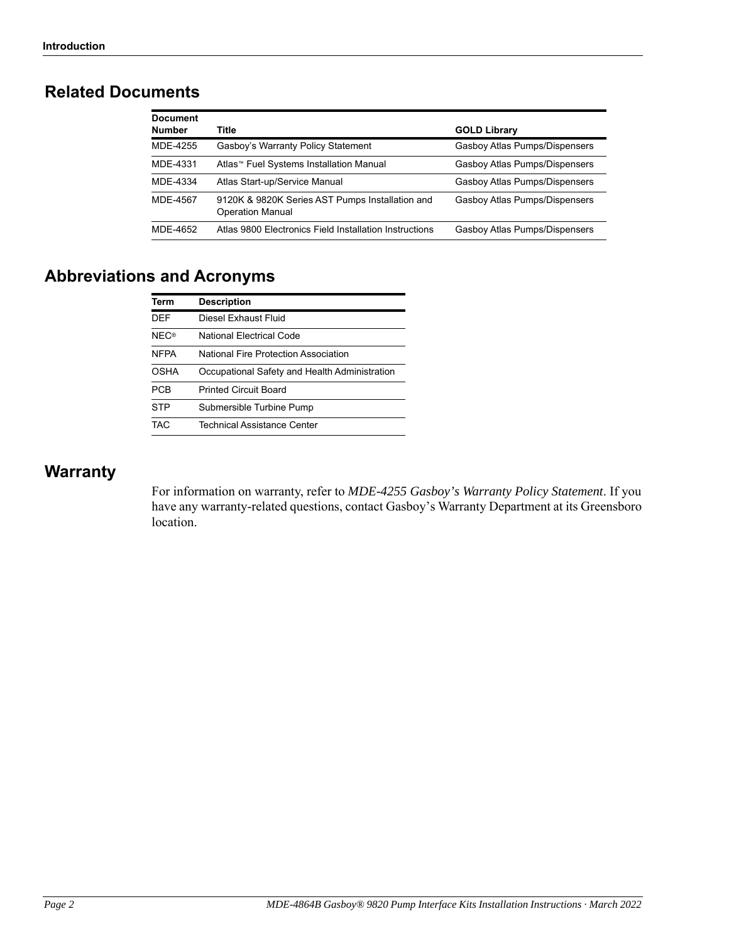# **Related Documents**

| <b>Document</b> |                                                                            |                               |
|-----------------|----------------------------------------------------------------------------|-------------------------------|
| <b>Number</b>   | Title                                                                      | <b>GOLD Library</b>           |
| MDE-4255        | Gasboy's Warranty Policy Statement                                         | Gasboy Atlas Pumps/Dispensers |
| MDE-4331        | Atlas <sup>™</sup> Fuel Systems Installation Manual                        | Gasboy Atlas Pumps/Dispensers |
| MDE-4334        | Atlas Start-up/Service Manual                                              | Gasboy Atlas Pumps/Dispensers |
| MDE-4567        | 9120K & 9820K Series AST Pumps Installation and<br><b>Operation Manual</b> | Gasboy Atlas Pumps/Dispensers |
| MDF-4652        | Atlas 9800 Electronics Field Installation Instructions                     | Gasboy Atlas Pumps/Dispensers |

# **Abbreviations and Acronyms**

| <b>Term</b> | <b>Description</b>                            |
|-------------|-----------------------------------------------|
| DFF         | Diesel Exhaust Fluid                          |
| <b>NEC®</b> | National Flectrical Code                      |
| <b>NFPA</b> | National Fire Protection Association          |
| OSHA        | Occupational Safety and Health Administration |
| <b>PCB</b>  | <b>Printed Circuit Board</b>                  |
| <b>STP</b>  | Submersible Turbine Pump                      |
| TAC.        | <b>Technical Assistance Center</b>            |

# **Warranty**

For information on warranty, refer to *MDE-4255 Gasboy's Warranty Policy Statement*. If you have any warranty-related questions, contact Gasboy's Warranty Department at its Greensboro location.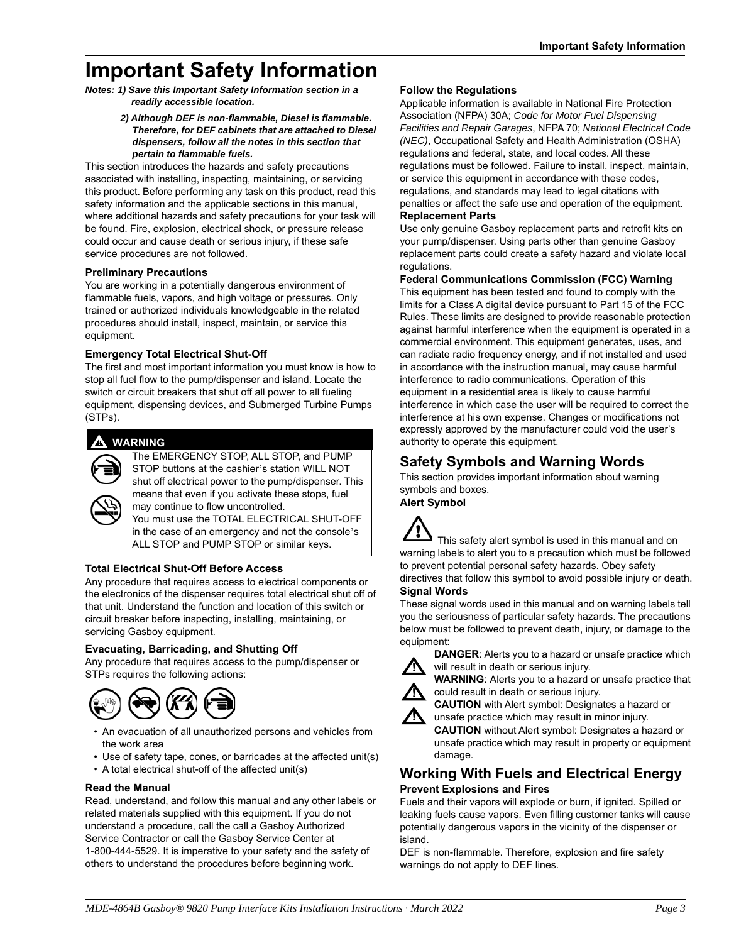# **Important Safety Information**

*Notes: 1) Save this Important Safety Information section in a readily accessible location.*

#### *2) Although DEF is non-flammable, Diesel is flammable. Therefore, for DEF cabinets that are attached to Diesel dispensers, follow all the notes in this section that pertain to flammable fuels.*

This section introduces the hazards and safety precautions associated with installing, inspecting, maintaining, or servicing this product. Before performing any task on this product, read this safety information and the applicable sections in this manual, where additional hazards and safety precautions for your task will be found. Fire, explosion, electrical shock, or pressure release could occur and cause death or serious injury, if these safe service procedures are not followed.

## **Preliminary Precautions**

You are working in a potentially dangerous environment of flammable fuels, vapors, and high voltage or pressures. Only trained or authorized individuals knowledgeable in the related procedures should install, inspect, maintain, or service this equipment.

### **Emergency Total Electrical Shut-Off**

The first and most important information you must know is how to stop all fuel flow to the pump/dispenser and island. Locate the switch or circuit breakers that shut off all power to all fueling equipment, dispensing devices, and Submerged Turbine Pumps (STPs).

# **! ! WARNING**



The EMERGENCY STOP, ALL STOP, and PUMP STOP buttons at the cashier's station WILL NOT shut off electrical power to the pump/dispenser. This means that even if you activate these stops, fuel may continue to flow uncontrolled.

You must use the TOTAL ELECTRICAL SHUT-OFF in the case of an emergency and not the console's ALL STOP and PUMP STOP or similar keys.

## **Total Electrical Shut-Off Before Access**

Any procedure that requires access to electrical components or the electronics of the dispenser requires total electrical shut off of that unit. Understand the function and location of this switch or circuit breaker before inspecting, installing, maintaining, or servicing Gasboy equipment.

## **Evacuating, Barricading, and Shutting Off**

Any procedure that requires access to the pump/dispenser or STPs requires the following actions:



- An evacuation of all unauthorized persons and vehicles from the work area
- Use of safety tape, cones, or barricades at the affected unit(s)
- A total electrical shut-off of the affected unit(s)

## **Read the Manual**

Read, understand, and follow this manual and any other labels or related materials supplied with this equipment. If you do not understand a procedure, call the call a Gasboy Authorized Service Contractor or call the Gasboy Service Center at 1-800-444-5529. It is imperative to your safety and the safety of others to understand the procedures before beginning work.

## **Follow the Regulations**

Applicable information is available in National Fire Protection Association (NFPA) 30A; *Code for Motor Fuel Dispensing Facilities and Repair Garages*, NFPA 70; *National Electrical Code (NEC)*, Occupational Safety and Health Administration (OSHA) regulations and federal, state, and local codes. All these regulations must be followed. Failure to install, inspect, maintain, or service this equipment in accordance with these codes, regulations, and standards may lead to legal citations with penalties or affect the safe use and operation of the equipment. **Replacement Parts**

Use only genuine Gasboy replacement parts and retrofit kits on your pump/dispenser. Using parts other than genuine Gasboy replacement parts could create a safety hazard and violate local regulations.

## **Federal Communications Commission (FCC) Warning**

This equipment has been tested and found to comply with the limits for a Class A digital device pursuant to Part 15 of the FCC Rules. These limits are designed to provide reasonable protection against harmful interference when the equipment is operated in a commercial environment. This equipment generates, uses, and can radiate radio frequency energy, and if not installed and used in accordance with the instruction manual, may cause harmful interference to radio communications. Operation of this equipment in a residential area is likely to cause harmful interference in which case the user will be required to correct the interference at his own expense. Changes or modifications not expressly approved by the manufacturer could void the user's authority to operate this equipment.

# **Safety Symbols and Warning Words**

This section provides important information about warning symbols and boxes.

**Alert Symbol** 



#### These signal words used in this manual and on warning labels tell you the seriousness of particular safety hazards. The precautions below must be followed to prevent death, injury, or damage to the equipment:



**DANGER**: Alerts you to a hazard or unsafe practice which will result in death or serious injury.

**WARNING**: Alerts you to a hazard or unsafe practice that could result in death or serious injury.



**CAUTION** with Alert symbol: Designates a hazard or unsafe practice which may result in minor injury.

**CAUTION** without Alert symbol: Designates a hazard or unsafe practice which may result in property or equipment damage.

# **Working With Fuels and Electrical Energy Prevent Explosions and Fires**

Fuels and their vapors will explode or burn, if ignited. Spilled or leaking fuels cause vapors. Even filling customer tanks will cause potentially dangerous vapors in the vicinity of the dispenser or island.

DEF is non-flammable. Therefore, explosion and fire safety warnings do not apply to DEF lines.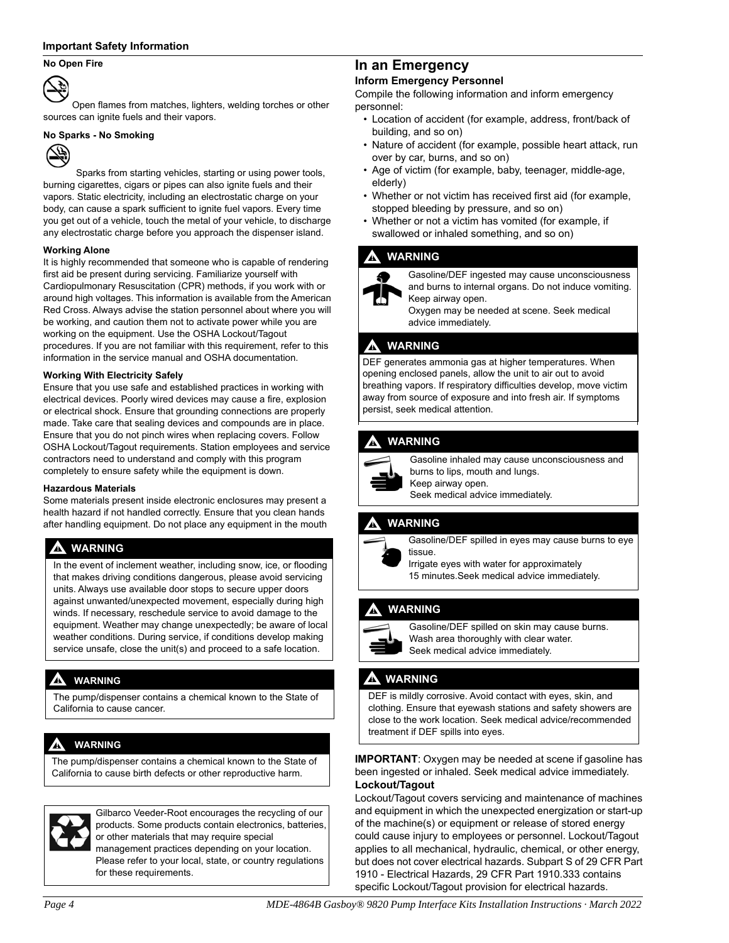#### **Important Safety Information**

#### **No Open Fire**



Open flames from matches, lighters, welding torches or other sources can ignite fuels and their vapors.

#### **No Sparks - No Smoking**



 Sparks from starting vehicles, starting or using power tools, burning cigarettes, cigars or pipes can also ignite fuels and their vapors. Static electricity, including an electrostatic charge on your body, can cause a spark sufficient to ignite fuel vapors. Every time you get out of a vehicle, touch the metal of your vehicle, to discharge any electrostatic charge before you approach the dispenser island.

#### **Working Alone**

It is highly recommended that someone who is capable of rendering first aid be present during servicing. Familiarize yourself with Cardiopulmonary Resuscitation (CPR) methods, if you work with or around high voltages. This information is available from the American Red Cross. Always advise the station personnel about where you will be working, and caution them not to activate power while you are working on the equipment. Use the OSHA Lockout/Tagout procedures. If you are not familiar with this requirement, refer to this information in the service manual and OSHA documentation.

#### **Working With Electricity Safely**

Ensure that you use safe and established practices in working with electrical devices. Poorly wired devices may cause a fire, explosion or electrical shock. Ensure that grounding connections are properly made. Take care that sealing devices and compounds are in place. Ensure that you do not pinch wires when replacing covers. Follow OSHA Lockout/Tagout requirements. Station employees and service contractors need to understand and comply with this program completely to ensure safety while the equipment is down.

#### **Hazardous Materials**

Some materials present inside electronic enclosures may present a health hazard if not handled correctly. Ensure that you clean hands after handling equipment. Do not place any equipment in the mouth

## **! WARNING**

In the event of inclement weather, including snow, ice, or flooding that makes driving conditions dangerous, please avoid servicing units. Always use available door stops to secure upper doors against unwanted/unexpected movement, especially during high winds. If necessary, reschedule service to avoid damage to the equipment. Weather may change unexpectedly; be aware of local weather conditions. During service, if conditions develop making service unsafe, close the unit(s) and proceed to a safe location.

## **! WARNING**

The pump/dispenser contains a chemical known to the State of California to cause cancer.

## **! WARNING**

The pump/dispenser contains a chemical known to the State of California to cause birth defects or other reproductive harm.

for these requirements.



Gilbarco Veeder-Root encourages the recycling of our products. Some products contain electronics, batteries, or other materials that may require special management practices depending on your location. Please refer to your local, state, or country regulations

# **In an Emergency**

### **Inform Emergency Personnel**

Compile the following information and inform emergency personnel:

- Location of accident (for example, address, front/back of building, and so on)
- Nature of accident (for example, possible heart attack, run over by car, burns, and so on)
- Age of victim (for example, baby, teenager, middle-age, elderly)
- Whether or not victim has received first aid (for example, stopped bleeding by pressure, and so on)
- Whether or not a victim has vomited (for example, if swallowed or inhaled something, and so on)

#### **! WARNING**



Gasoline/DEF ingested may cause unconsciousness and burns to internal organs. Do not induce vomiting. Keep airway open.

Oxygen may be needed at scene. Seek medical advice immediately.

### **! WARNING**

DEF generates ammonia gas at higher temperatures. When opening enclosed panels, allow the unit to air out to avoid breathing vapors. If respiratory difficulties develop, move victim away from source of exposure and into fresh air. If symptoms persist, seek medical attention.

# **! WARNING**



Gasoline inhaled may cause unconsciousness and burns to lips, mouth and lungs. Keep airway open.

Seek medical advice immediately.

## **! WARNING**



Gasoline/DEF spilled in eyes may cause burns to eye tissue.

Irrigate eyes with water for approximately 15 minutes.Seek medical advice immediately.

## **! WARNING**



Gasoline/DEF spilled on skin may cause burns. Wash area thoroughly with clear water. Seek medical advice immediately.

## **! WARNING**

DEF is mildly corrosive. Avoid contact with eyes, skin, and clothing. Ensure that eyewash stations and safety showers are close to the work location. Seek medical advice/recommended treatment if DEF spills into eyes.

#### **IMPORTANT**: Oxygen may be needed at scene if gasoline has been ingested or inhaled. Seek medical advice immediately. **Lockout/Tagout**

Lockout/Tagout covers servicing and maintenance of machines and equipment in which the unexpected energization or start-up of the machine(s) or equipment or release of stored energy could cause injury to employees or personnel. Lockout/Tagout applies to all mechanical, hydraulic, chemical, or other energy, but does not cover electrical hazards. Subpart S of 29 CFR Part 1910 - Electrical Hazards, 29 CFR Part 1910.333 contains specific Lockout/Tagout provision for electrical hazards.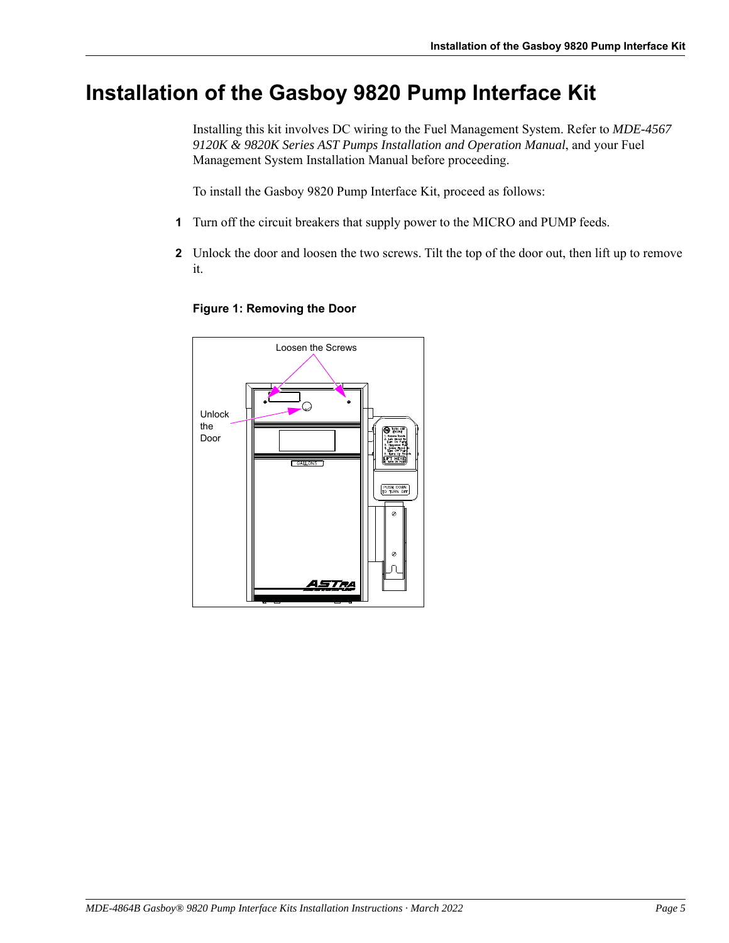# <span id="page-4-0"></span>**Installation of the Gasboy 9820 Pump Interface Kit**

Installing this kit involves DC wiring to the Fuel Management System. Refer to *MDE-4567 9120K & 9820K Series AST Pumps Installation and Operation Manual*, and your Fuel Management System Installation Manual before proceeding.

To install the Gasboy 9820 Pump Interface Kit, proceed as follows:

- **1** Turn off the circuit breakers that supply power to the MICRO and PUMP feeds.
- **2** Unlock the door and loosen the two screws. Tilt the top of the door out, then lift up to remove it.



77

# **Figure 1: Removing the Door**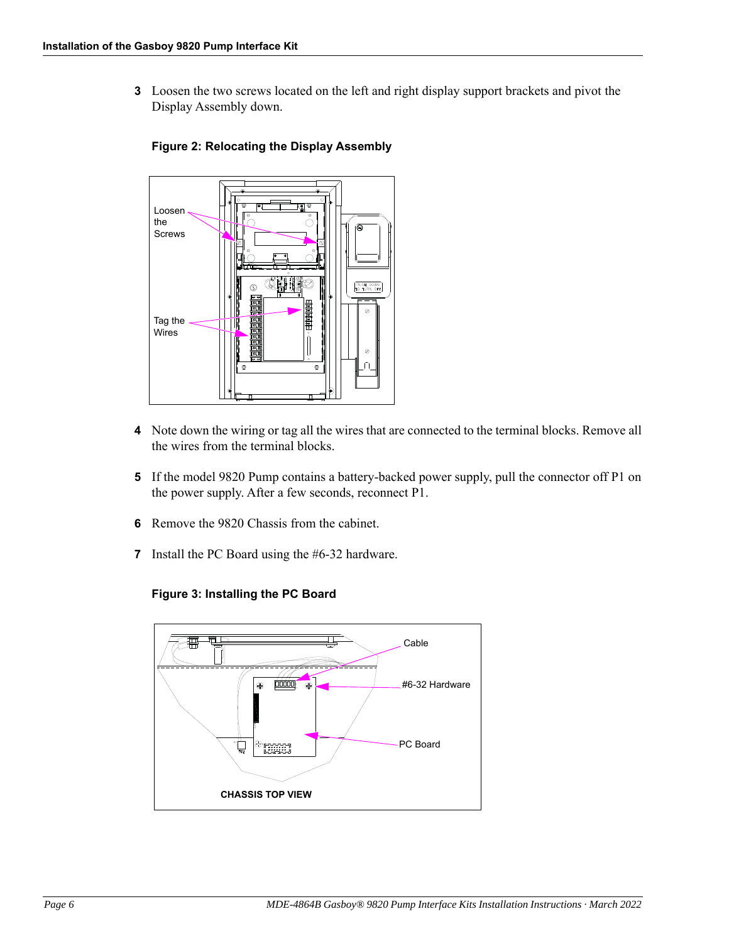**3** Loosen the two screws located on the left and right display support brackets and pivot the Display Assembly down.



# **Figure 2: Relocating the Display Assembly**

- **4** Note down the wiring or tag all the wires that are connected to the terminal blocks. Remove all the wires from the terminal blocks.
- **5** If the model 9820 Pump contains a battery-backed power supply, pull the connector off P1 on the power supply. After a few seconds, reconnect P1.
- **6** Remove the 9820 Chassis from the cabinet.
- **7** Install the PC Board using the #6-32 hardware.



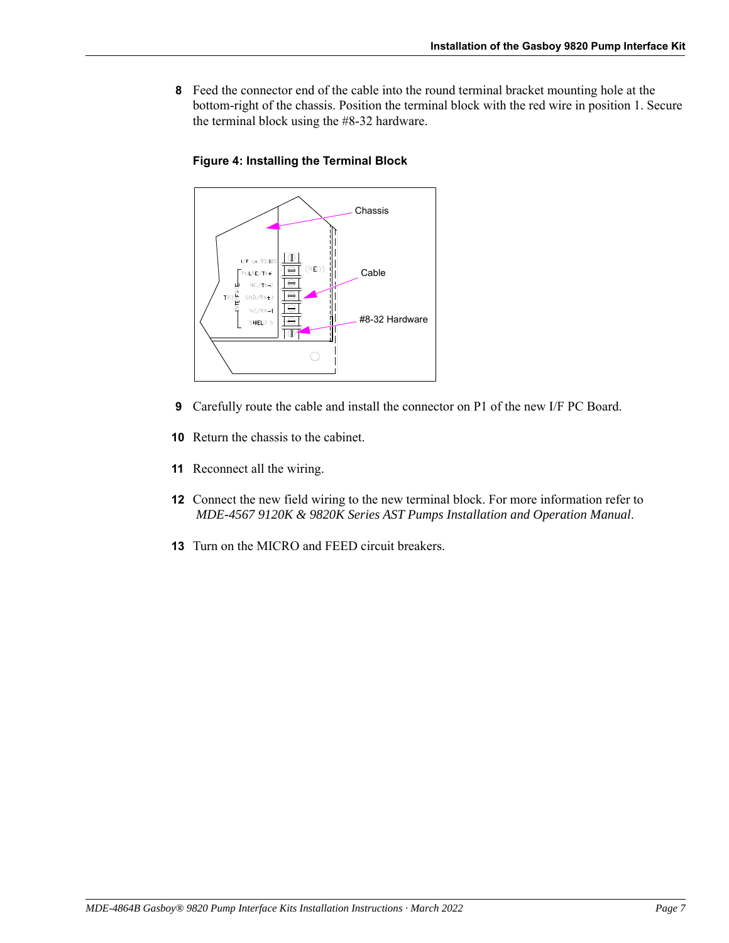**8** Feed the connector end of the cable into the round terminal bracket mounting hole at the bottom-right of the chassis. Position the terminal block with the red wire in position 1. Secure the terminal block using the #8-32 hardware.

# **Figure 4: Installing the Terminal Block**



- **9** Carefully route the cable and install the connector on P1 of the new I/F PC Board.
- **10** Return the chassis to the cabinet.
- **11** Reconnect all the wiring.
- **12** Connect the new field wiring to the new terminal block. For more information refer to *MDE-4567 9120K & 9820K Series AST Pumps Installation and Operation Manual*.
- **13** Turn on the MICRO and FEED circuit breakers.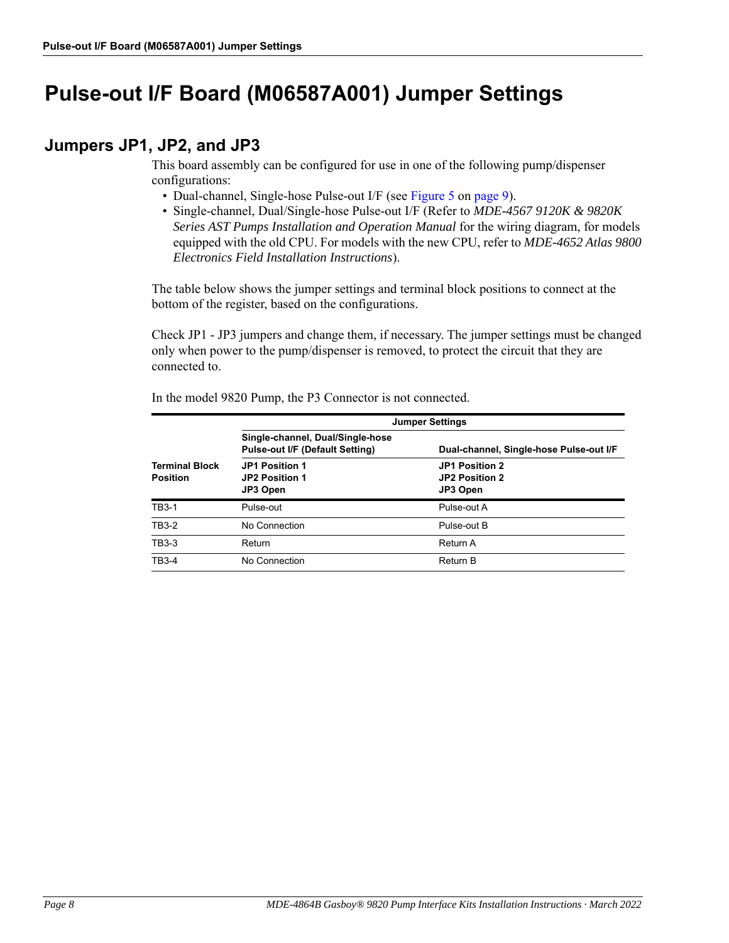# <span id="page-7-0"></span>**Pulse-out I/F Board (M06587A001) Jumper Settings**

# **Jumpers JP1, JP2, and JP3**

This board assembly can be configured for use in one of the following pump/dispenser configurations:

- Dual-channel, Single-hose Pulse-out I/F (see [Figure 5](#page-8-0) on [page 9](#page-8-0)).
- Single-channel, Dual/Single-hose Pulse-out I/F (Refer to *MDE-4567 9120K & 9820K Series AST Pumps Installation and Operation Manual* for the wiring diagram, for models equipped with the old CPU. For models with the new CPU, refer to *MDE-4652 Atlas 9800 Electronics Field Installation Instructions*).

The table below shows the jumper settings and terminal block positions to connect at the bottom of the register, based on the configurations.

Check JP1 - JP3 jumpers and change them, if necessary. The jumper settings must be changed only when power to the pump/dispenser is removed, to protect the circuit that they are connected to.

|                                          | <b>Jumper Settings</b>                                                     |                                              |  |
|------------------------------------------|----------------------------------------------------------------------------|----------------------------------------------|--|
|                                          | Single-channel, Dual/Single-hose<br><b>Pulse-out I/F (Default Setting)</b> | Dual-channel, Single-hose Pulse-out I/F      |  |
| <b>Terminal Block</b><br><b>Position</b> | JP1 Position 1<br><b>JP2 Position 1</b><br>JP3 Open                        | JP1 Position 2<br>JP2 Position 2<br>JP3 Open |  |
| TB3-1                                    | Pulse-out                                                                  | Pulse-out A                                  |  |
| <b>TB3-2</b>                             | No Connection                                                              | Pulse-out B                                  |  |
| TB3-3                                    | Return                                                                     | Return A                                     |  |
| <b>TB3-4</b>                             | No Connection                                                              | <b>Return B</b>                              |  |

In the model 9820 Pump, the P3 Connector is not connected.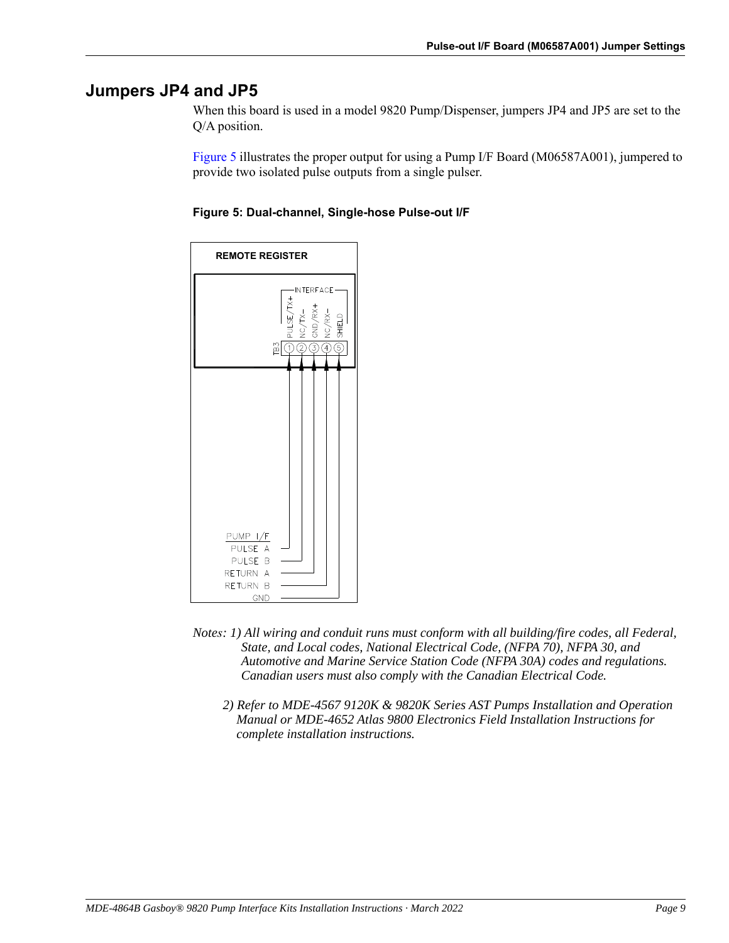# **Jumpers JP4 and JP5**

When this board is used in a model 9820 Pump/Dispenser, jumpers JP4 and JP5 are set to the Q/A position.

[Figure 5](#page-8-0) illustrates the proper output for using a Pump I/F Board (M06587A001), jumpered to provide two isolated pulse outputs from a single pulser.

<span id="page-8-0"></span>



- *Notes: 1) All wiring and conduit runs must conform with all building/fire codes, all Federal, State, and Local codes, National Electrical Code, (NFPA 70), NFPA 30, and Automotive and Marine Service Station Code (NFPA 30A) codes and regulations. Canadian users must also comply with the Canadian Electrical Code.*
	- *2) Refer to MDE-4567 9120K & 9820K Series AST Pumps Installation and Operation Manual or MDE-4652 Atlas 9800 Electronics Field Installation Instructions for complete installation instructions.*